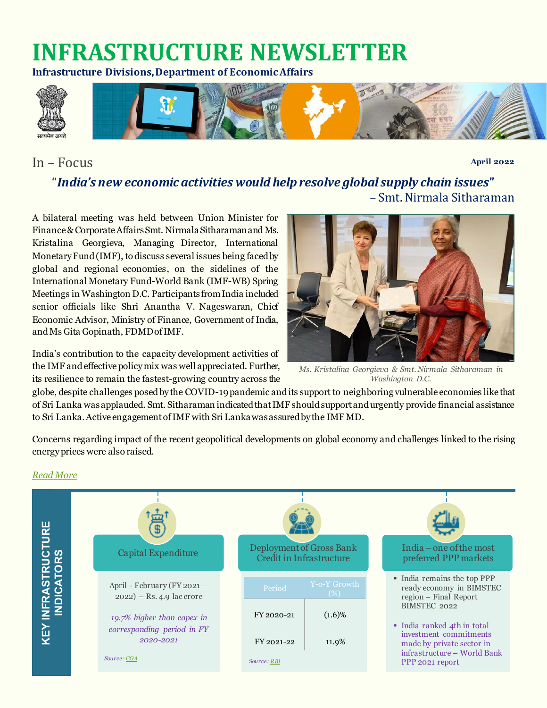# **INFRASTRUCTURE NEWSLETTER**

**Infrastructure Divisions, Department of Economic Affairs**



### In – Focus

**April 2022**

### "*India's new economic activities would help resolve global supply chain issues***"** – Smt. Nirmala Sitharaman

A bilateral meeting was held between Union Minister for Finance & Corporate Affairs Smt. Nirmala Sitharaman and Ms. Kristalina Georgieva, Managing Director, International Monetary Fund (IMF), to discuss several issues being faced by global and regional economies, on the sidelines of the International Monetary Fund-World Bank (IMF-WB) Spring Meetings in Washington D.C. Participants from India included senior officials like Shri Anantha V. Nageswaran, Chief Economic Advisor, Ministry of Finance, Government of India, and Ms Gita Gopinath, FDMD of IMF.

India's contribution to the capacity development activities of the IMF and effective policy mix was well appreciated. Further, its resilience to remain the fastest-growing country across the



*Ms. Kristalina Georgieva & Smt. Nirmala Sitharaman in Washington D.C.*

globe, despite challenges posed by the COVID-19 pandemic and its support to neighboring vulnerable economies like that of Sri Lanka was applauded. Smt. Sitharaman indicated that IMF should support and urgently provide financial assistance to Sri Lanka.Active engagement of IMF with Sri Lanka was assured by the IMF MD.

Concerns regarding impact of the recent geopolitical developments on global economy and challenges linked to the rising energy prices were also raised.

### *[Read More](https://pib.gov.in/PressReleasePage.aspx?PRID=1817932)*

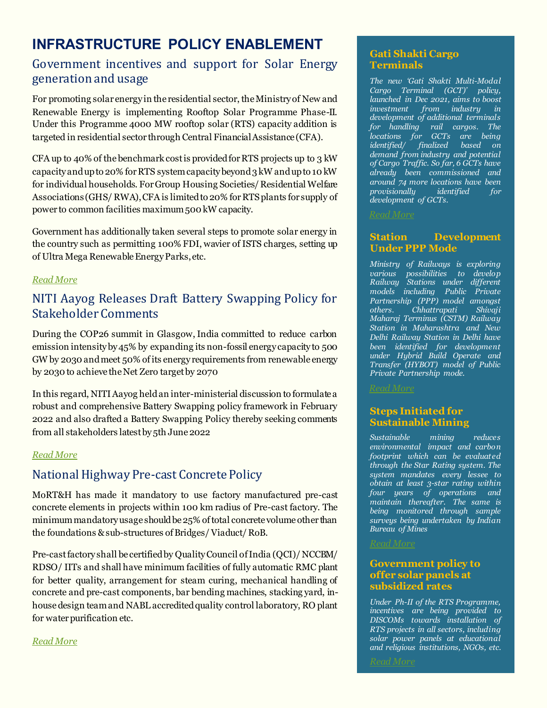### **INFRASTRUCTURE POLICY ENABLEMENT**

### Government incentives and support for Solar Energy generation and usage

For promoting solar energy in the residential sector, the Ministry of New and Renewable Energy is implementing Rooftop Solar Programme Phase-II. Under this Programme 4000 MW rooftop solar (RTS) capacity addition is targeted in residential sector through Central Financial Assistance (CFA).

CFA up to 40% of the benchmark cost is provided for RTS projects up to 3 kW capacity and up to 20% for RTS system capacity beyond 3 kW and up to 10 kW for individual households. For Group Housing Societies/ Residential Welfare Associations (GHS/ RWA), CFA is limited to 20% for RTS plants for supply of power to common facilities maximum 500 kW capacity.

Government has additionally taken several steps to promote solar energy in the country such as permitting 100% FDI, wavier of ISTS charges, setting up of Ultra Mega Renewable Energy Parks, etc.

### *[Read More](https://pib.gov.in/PressReleasePage.aspx?PRID=1813807)*

### NITI Aayog Releases Draft Battery Swapping Policy for Stakeholder Comments

During the COP26 summit in Glasgow, India committed to reduce carbon emission intensity by 45% by expanding its non-fossil energy capacity to 500 GW by 2030 and meet 50% of its energy requirements from renewable energy by 2030 to achieve the Net Zero target by 2070

In this regard, NITI Aayog held an inter-ministerial discussion to formulate a robust and comprehensive Battery Swapping policy framework in February 2022 and also drafted a Battery Swapping Policy thereby seeking comments from all stakeholders latest by 5th June 2022

### *[Read More](https://pib.gov.in/PressReleasePage.aspx?PRID=1818569)*

### National Highway Pre-cast Concrete Policy

MoRT&H has made it mandatory to use factory manufactured pre-cast concrete elements in projects within 100 km radius of Pre-cast factory. The minimum mandatory usage should be 25% of total concrete volume other than the foundations & sub-structures of Bridges/Viaduct/ RoB.

Pre-cast factory shall be certified by Quality Council of India (QCI)/ NCCBM/ RDSO/ IITs and shall have minimum facilities of fully automatic RMC plant for better quality, arrangement for steam curing, mechanical handling of concrete and pre-cast components, bar bending machines, stacking yard, inhouse design team and NABL accredited quality control laboratory, RO plant for water purification etc.

#### *[Read More](https://pib.gov.in/PressReleasePage.aspx?PRID=1818137)*

### **Gati Shakti Cargo Terminals**

*The new 'Gati Shakti Multi-Modal Cargo Terminal (GCT)' policy, launched in Dec 2021, aims to boost investment from industry in development of additional terminals for handling rail cargos. The locations for GCTs are being finalized based on demand from industry and potential of Cargo Traffic. So far, 6 GCTs have already been commissioned and around 74 more locations have been provisionally identified for development of GCTs.*

#### *[Read More](https://pib.gov.in/PressReleasePage.aspx?PRID=1814049)*

#### **Station Development Under PPP Mode**

*Ministry of Railways is exploring various possibilities to develop Railway Stations under different models including Public Private Partnership (PPP) model amongst others. Chhattrapati Shivaji Maharaj Terminus (CSTM) Railway Station in Maharashtra and New Delhi Railway Station in Delhi have been identified for development under Hybrid Build Operate and Transfer (HYBOT) model of Public Private Partnership mode.*

*[Read More](https://pib.gov.in/PressReleasePage.aspx?PRID=1812320)*

#### **Steps Initiated for Sustainable Mining**

*Sustainable mining reduces environmental impact and carbon footprint which can be evaluated through the Star Rating system. The system mandates every lessee to obtain at least 3-star rating within four years of operations and maintain thereafter. The same is being monitored through sample surveys being undertaken by Indian Bureau of Mines*

#### *[Read More](https://pib.gov.in/PressReleasePage.aspx?PRID=1813238)*

#### **Government policy to offer solar panels at subsidized rates**

*Under Ph-II of the RTS Programme, incentives are being provided to DISCOMs towards installation of RTS projects in all sectors, including solar power panels at educational and religious institutions, NGOs, etc.*

*[Read More](https://pib.gov.in/PressReleasePage.aspx?PRID=1813813)*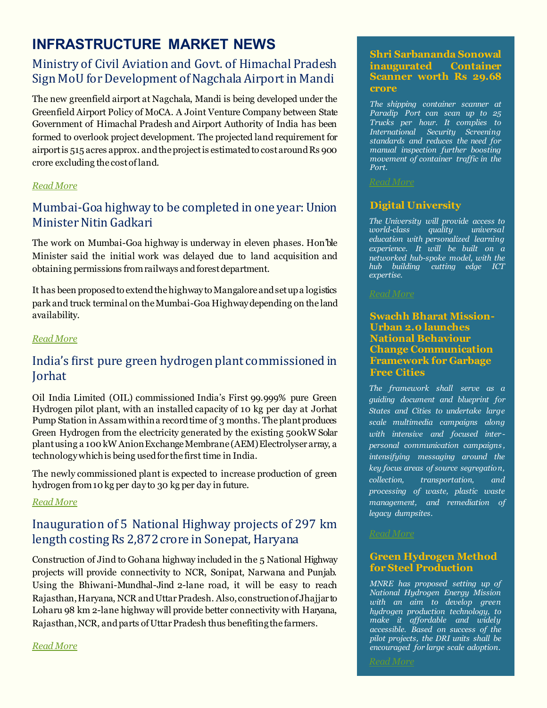## **INFRASTRUCTURE MARKET NEWS**

### Ministry of Civil Aviation and Govt. of Himachal Pradesh Sign MoU for Development of Nagchala Airport in Mandi

The new greenfield airport at Nagchala, Mandi is being developed under the Greenfield Airport Policy of MoCA. A Joint Venture Company between State Government of Himachal Pradesh and Airport Authority of India has been formed to overlook project development. The projected land requirement for airport is 515 acres approx. and the project is estimated to cost around Rs 900 crore excluding the cost ofland.

### *[Read More](https://pib.gov.in/PressReleasePage.aspx?PRID=1819922)*

### Mumbai-Goa highway to be completed in one year: Union Minister Nitin Gadkari

The work on Mumbai-Goa highway is underway in eleven phases. Hon'ble Minister said the initial work was delayed due to land acquisition and obtaining permissions from railways and forest department.

It has been proposed to extend the highway to Mangalore and set up a logistics park and truck terminal on the Mumbai-Goa Highway depending on the land availability.

### *[Read More](https://pib.gov.in/PressReleasePage.aspx?PRID=1813014)*

### India's first pure green hydrogen plant commissioned in Jorhat

Oil India Limited (OIL) commissioned India's First 99.999% pure Green Hydrogen pilot plant, with an installed capacity of 10 kg per day at Jorhat Pump Station in Assam within a record time of 3 months. The plant produces Green Hydrogen from the electricity generated by the existing 500kW Solar plant using a 100 kW Anion Exchange Membrane (AEM) Electrolyser array, a technology which is being used for the first time in India.

The newly commissioned plant is expected to increase production of green hydrogen from 10 kg per day to 30 kg per day in future.

### *[Read More](https://pib.gov.in/PressReleasePage.aspx?PRID=1818482)*

### Inauguration of 5 National Highway projects of 297 km length costing Rs 2,872 crore in Sonepat, Haryana

Construction of Jind to Gohana highway included in the 5 National Highway projects will provide connectivity to NCR, Sonipat, Narwana and Punjab. Using the Bhiwani-Mundhal-Jind 2-lane road, it will be easy to reach Rajasthan, Haryana, NCR and Uttar Pradesh. Also, construction of Jhajjar to Loharu 98 km 2-lane highway will provide better connectivity with Haryana, Rajasthan, NCR, and parts of Uttar Pradesh thus benefitingthe farmers.

**Shri Sarbananda Sonowal inaugurated Container Scanner worth Rs 29.68 crore**

*The shipping container scanner at Paradip Port can scan up to 25 Trucks per hour. It complies to International Security Screening standards and reduces the need for manual inspection further boosting movement of container traffic in the Port.*

#### *[Read More](https://pib.gov.in/PressReleasePage.aspx?PRID=1819745)*

### **Digital University**

*The University will provide access to world-class quality universal education with personalized learning experience. It will be built on a networked hub-spoke model, with the hub building cutting edge ICT expertise.*

#### **Swachh Bharat Mission-Urban 2.0 launches National Behaviour Change Communication Framework for Garbage Free Cities**

*The framework shall serve as a guiding document and blueprint for States and Cities to undertake large scale multimedia campaigns along with intensive and focused inter personal communication campaigns , intensifying messaging around the key focus areas of source segregation, collection, transportation, and processing of waste, plastic waste management, and remediation of legacy dumpsites.*

#### *[Read More](https://pib.gov.in/PressReleasePage.aspx?PRID=1821417)*

*[Read More](https://pib.gov.in/PressReleasePage.aspx?PRID=1814224)*

#### **Green Hydrogen Method for Steel Production**

*MNRE has proposed setting up of National Hydrogen Energy Mission with an aim to develop green hydrogen production technology, to make it affordable and widely accessible. Based on success of the pilot projects, the DRI units shall be encouraged for large scale adoption.*

*[Read More](https://pib.gov.in/PressReleasePage.aspx?PRID=1813647)*